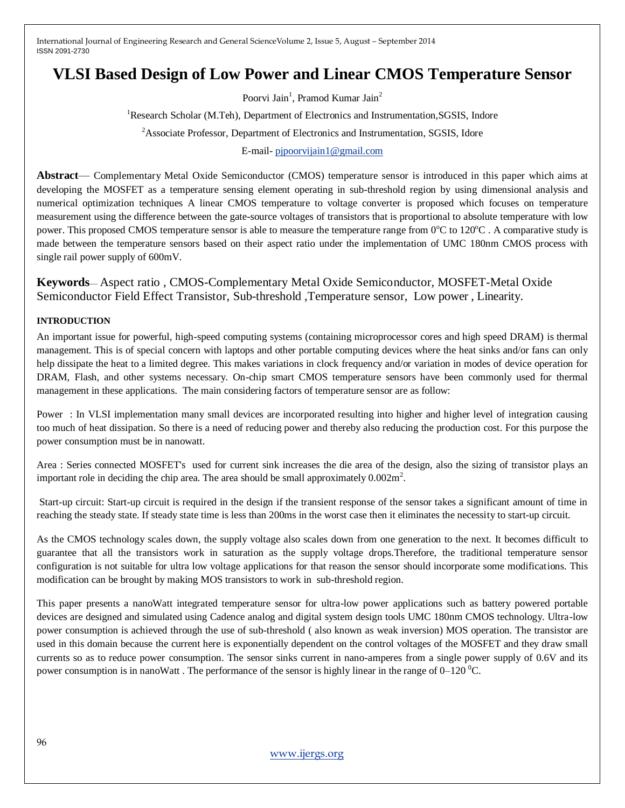# **VLSI Based Design of Low Power and Linear CMOS Temperature Sensor**

Poorvi Jain<sup>1</sup>, Pramod Kumar Jain<sup>2</sup>

<sup>1</sup>Research Scholar (M.Teh), Department of Electronics and Instrumentation, SGSIS, Indore

<sup>2</sup>Associate Professor, Department of Electronics and Instrumentation, SGSIS, Idore

## E-mail- [pjpoorvijain1@gmail.com](mailto:pjpoorvijain1@gmail.com)

**Abstract**— Complementary Metal Oxide Semiconductor (CMOS) temperature sensor is introduced in this paper which aims at developing the MOSFET as a temperature sensing element operating in sub-threshold region by using dimensional analysis and numerical optimization techniques A linear CMOS temperature to voltage converter is proposed which focuses on temperature measurement using the difference between the gate-source voltages of transistors that is proportional to absolute temperature with low power. This proposed CMOS temperature sensor is able to measure the temperature range from  $0^{\circ}$ C to  $120^{\circ}$ C. A comparative study is made between the temperature sensors based on their aspect ratio under the implementation of UMC 180nm CMOS process with single rail power supply of 600mV.

**Keywords**— Aspect ratio , CMOS-Complementary Metal Oxide Semiconductor, MOSFET-Metal Oxide Semiconductor Field Effect Transistor, Sub-threshold ,Temperature sensor, Low power , Linearity.

## **INTRODUCTION**

An important issue for powerful, high-speed computing systems (containing microprocessor cores and high speed DRAM) is thermal management. This is of special concern with laptops and other portable computing devices where the heat sinks and/or fans can only help dissipate the heat to a limited degree. This makes variations in clock frequency and/or variation in modes of device operation for DRAM, Flash, and other systems necessary. On-chip smart CMOS temperature sensors have been commonly used for thermal management in these applications. The main considering factors of temperature sensor are as follow:

Power : In VLSI implementation many small devices are incorporated resulting into higher and higher level of integration causing too much of heat dissipation. So there is a need of reducing power and thereby also reducing the production cost. For this purpose the power consumption must be in nanowatt.

Area : Series connected MOSFET's used for current sink increases the die area of the design, also the sizing of transistor plays an important role in deciding the chip area. The area should be small approximately  $0.002m^2$ .

Start-up circuit: Start-up circuit is required in the design if the transient response of the sensor takes a significant amount of time in reaching the steady state. If steady state time is less than 200ms in the worst case then it eliminates the necessity to start-up circuit.

As the CMOS technology scales down, the supply voltage also scales down from one generation to the next. It becomes difficult to guarantee that all the transistors work in saturation as the supply voltage drops.Therefore, the traditional temperature sensor configuration is not suitable for ultra low voltage applications for that reason the sensor should incorporate some modifications. This modification can be brought by making MOS transistors to work in sub-threshold region.

This paper presents a nanoWatt integrated temperature sensor for ultra-low power applications such as battery powered portable devices are designed and simulated using Cadence analog and digital system design tools UMC 180nm CMOS technology. Ultra-low power consumption is achieved through the use of sub-threshold ( also known as weak inversion) MOS operation. The transistor are used in this domain because the current here is exponentially dependent on the control voltages of the MOSFET and they draw small currents so as to reduce power consumption. The sensor sinks current in nano-amperes from a single power supply of 0.6V and its power consumption is in nanoWatt. The performance of the sensor is highly linear in the range of  $0-120^{\circ}$ C.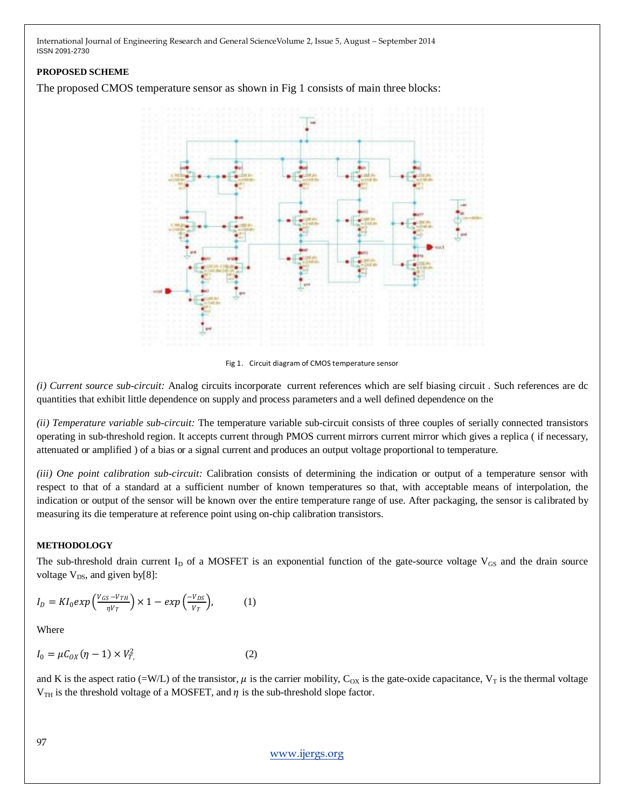## **PROPOSED SCHEME**

The proposed CMOS temperature sensor as shown in Fig 1 consists of main three blocks:



Fig 1. Circuit diagram of CMOS temperature sensor

*(i) Current source sub-circuit:* Analog circuits incorporate current references which are self biasing circuit . Such references are dc quantities that exhibit little dependence on supply and process parameters and a well defined dependence on the

*(ii) Temperature variable sub-circuit:* The temperature variable sub-circuit consists of three couples of serially connected transistors operating in sub-threshold region. It accepts current through PMOS current mirrors current mirror which gives a replica ( if necessary, attenuated or amplified ) of a bias or a signal current and produces an output voltage proportional to temperature.

*(iii) One point calibration sub-circuit:* Calibration consists of determining the indication or output of a temperature sensor with respect to that of a standard at a sufficient number of known temperatures so that, with acceptable means of interpolation, the indication or output of the sensor will be known over the entire temperature range of use. After packaging, the sensor is calibrated by measuring its die temperature at reference point using on-chip calibration transistors.

## **METHODOLOGY**

The sub-threshold drain current  $I_D$  of a MOSFET is an exponential function of the gate-source voltage  $V_{GS}$  and the drain source voltage  $V_{DS}$ , and given by[8]:

$$
I_D = K I_0 exp\left(\frac{v_{GS} - v_{TH}}{\eta v_T}\right) \times 1 - exp\left(\frac{-v_{DS}}{v_T}\right),\tag{1}
$$

Where

$$
I_0 = \mu C_{OX} (\eta - 1) \times V_{T}^2
$$
 (2)

and K is the aspect ratio (=W/L) of the transistor,  $\mu$  is the carrier mobility, C<sub>OX</sub> is the gate-oxide capacitance, V<sub>T</sub> is the thermal voltage  $V_{TH}$  is the threshold voltage of a MOSFET, and  $\eta$  is the sub-threshold slope factor.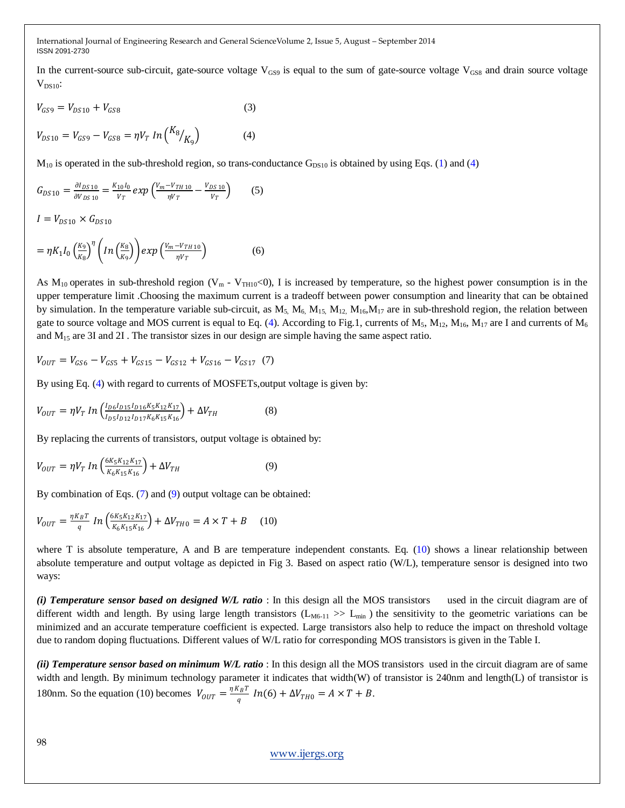In the current-source sub-circuit, gate-source voltage  $V_{GS9}$  is equal to the sum of gate-source voltage  $V_{GS8}$  and drain source voltage  $V_{DS10}$ :

$$
V_{GS9} = V_{DS10} + V_{GS8} \tag{3}
$$

 $V_{DS10} = V_{GS9} - V_{GS8} = \eta V_T \ln\left(\frac{K_8}{K_8}\right)$  $\mathcal{V}_{K_9}$  (4)

 $M_{10}$  is operated in the sub-threshold region, so trans-conductance  $G_{DS10}$  is obtained by using Eqs. (1) and (4)

$$
G_{DS10} = \frac{\partial I_{DS10}}{\partial V_{DS10}} = \frac{K_{10}I_0}{V_T} \exp\left(\frac{V_m - V_{TH10}}{\eta V_T} - \frac{V_{DS10}}{V_T}\right) \tag{5}
$$

 $I = V_{DS10} \times G_{DS10}$ 

$$
= \eta K_1 I_0 \left(\frac{K_9}{K_8}\right)^{\eta} \left( \ln \left(\frac{K_8}{K_9}\right) \right) \exp \left(\frac{V_m - V_{TH10}}{\eta V_T}\right) \tag{6}
$$

As  $M_{10}$  operates in sub-threshold region (V<sub>m</sub> - V<sub>TH10</sub><0), I is increased by temperature, so the highest power consumption is in the upper temperature limit .Choosing the maximum current is a tradeoff between power consumption and linearity that can be obtained by simulation. In the temperature variable sub-circuit, as  $M_5$ ,  $M_6$ ,  $M_{15}$ ,  $M_{12}$ ,  $M_{16}$ ,  $M_{17}$  are in sub-threshold region, the relation between gate to source voltage and MOS current is equal to Eq. (4). According to Fig.1, currents of  $M_5$ ,  $M_{12}$ ,  $M_{16}$ ,  $M_{17}$  are I and currents of  $M_6$ and  $M<sub>15</sub>$  are 3I and 2I. The transistor sizes in our design are simple having the same aspect ratio.

$$
V_{OUT} = V_{GS6} - V_{GS5} + V_{GS15} - V_{GS12} + V_{GS16} - V_{GS17} (7)
$$

By using Eq. (4) with regard to currents of MOSFETs,output voltage is given by:

$$
V_{OUT} = \eta V_T \ In \left(\frac{I_{D6}I_{D15}I_{D16}K_5K_{12}K_{17}}{I_{D5}I_{D12}I_{D17}K_6K_{15}K_{16}}\right) + \Delta V_{TH} \tag{8}
$$

By replacing the currents of transistors, output voltage is obtained by:

$$
V_{OUT} = \eta V_T \, ln\left(\frac{6K_5K_{12}K_{17}}{K_6K_{15}K_{16}}\right) + \Delta V_{TH} \tag{9}
$$

By combination of Eqs. (7) and (9) output voltage can be obtained:

$$
V_{OUT} = \frac{\eta K_B T}{q} \ln \left( \frac{6K_5 K_{12} K_{17}}{K_6 K_{15} K_{16}} \right) + \Delta V_{TH0} = A \times T + B \quad (10)
$$

where T is absolute temperature, A and B are temperature independent constants. Eq.  $(10)$  shows a linear relationship between absolute temperature and output voltage as depicted in Fig 3. Based on aspect ratio (W/L), temperature sensor is designed into two ways:

*(i) Temperature sensor based on designed W/L ratio* : In this design all the MOS transistors used in the circuit diagram are of different width and length. By using large length transistors  $(L_{M6-11} >> L_{min})$  the sensitivity to the geometric variations can be minimized and an accurate temperature coefficient is expected. Large transistors also help to reduce the impact on threshold voltage due to random doping fluctuations. Different values of W/L ratio for corresponding MOS transistors is given in the Table I.

*(ii) Temperature sensor based on minimum W/L ratio* : In this design all the MOS transistors used in the circuit diagram are of same width and length. By minimum technology parameter it indicates that width(W) of transistor is 240nm and length(L) of transistor is 180nm. So the equation (10) becomes  $V_{OUT} = \frac{\eta K_B T}{q}$  $\frac{G_B I}{q} In(6) + \Delta V_{TH0} = A \times T + B.$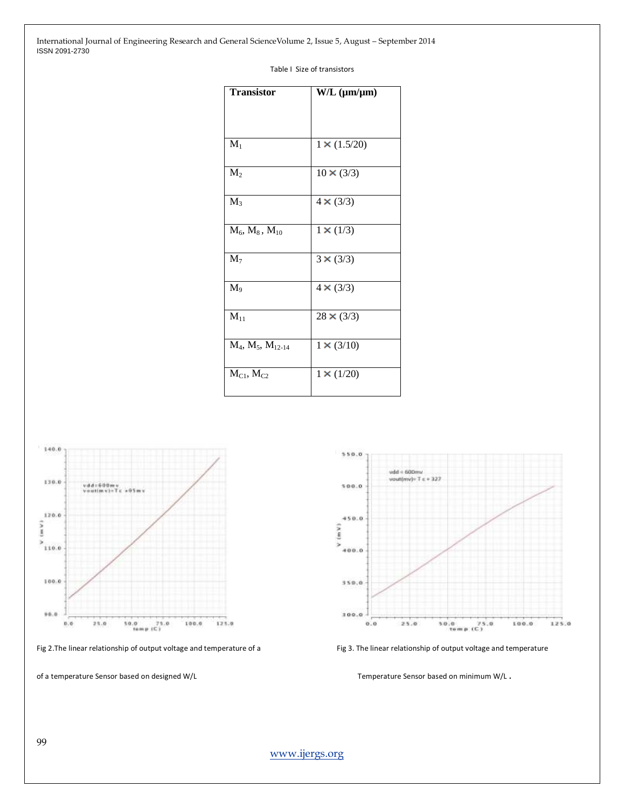#### Table I Size of transistors

| <b>Transistor</b>     | $W/L$ ( $\mu$ m/ $\mu$ m) |
|-----------------------|---------------------------|
|                       |                           |
| $M_1$                 | $1 \times (1.5/20)$       |
| $M_2$                 | $10 \times (3/3)$         |
| $M_3$                 | $4 \times (3/3)$          |
| $M_6, M_8, M_{10}$    | $1 \times (1/3)$          |
| $M_7$                 | $3 \times (3/3)$          |
| $M_9$                 | $4 \times (3/3)$          |
| $M_{11}$              | $28 \times (3/3)$         |
| $M_4, M_5, M_{12-14}$ | $1 \times (3/10)$         |
| $M_{C1}$ , $M_{C2}$   | $1 \times (1/20)$         |



Fig 2.The linear relationship of output voltage and temperature of a Fig 3. The linear relationship of output voltage and temperature

of a temperature Sensor based on designed W/L Temperature Sensor based on minimum W/L .

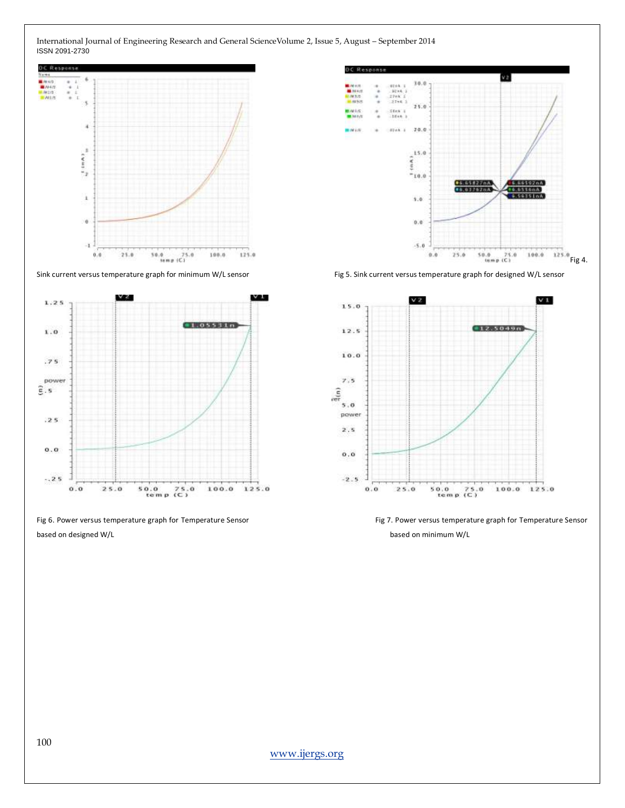



Fig 6. Power versus temperature graph for Temperature Sensor Fig 7. Power versus temperature graph for Temperature Sensor based on designed W/L based on minimum W/L



Sink current versus temperature graph for minimum W/L sensor Fig 5. Sink current versus temperature graph for designed W/L sensor

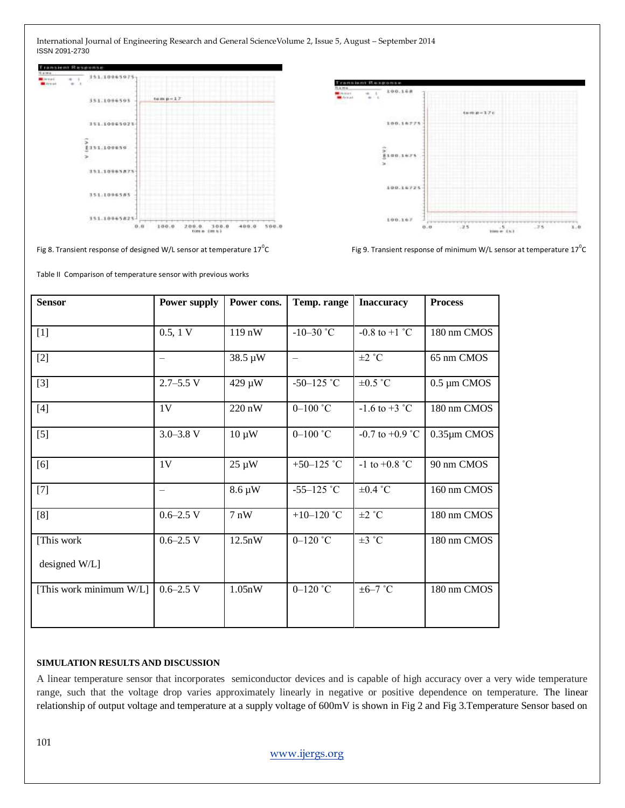

Fig 8. Transient response of designed W/L sensor at temperature  $17^0C$ 

Table II Comparison of temperature sensor with previous works



C  $\hbox{\large\it C}$  Fig 9. Transient response of minimum W/L sensor at temperature 17<sup>0</sup>C

| <b>Sensor</b>                | <b>Power supply</b> | Power cons. | Temp. range          | <b>Inaccuracy</b>       | <b>Process</b>    |
|------------------------------|---------------------|-------------|----------------------|-------------------------|-------------------|
| $[1]$                        | 0.5, 1 V            | 119nW       | $-10-30$ °C          | $-0.8$ to $+1$ °C       | 180 nm CMOS       |
| $[2]$                        |                     | 38.5 µW     | $\qquad \qquad -$    | $\pm 2$ °C              | 65 nm CMOS        |
| $[3]$                        | $2.7 - 5.5$ V       | 429 µW      | $-50-125$ °C         | $\pm 0.5$ °C            | $0.5 \mu m$ CMOS  |
| $[4]$                        | 1 <sub>V</sub>      | 220 nW      | $0-100$ $^{\circ}$ C | $-1.6$ to $+3$ °C       | 180 nm CMOS       |
| $[5]$                        | $3.0 - 3.8$ V       | $10 \mu W$  | $0 - 100$ °C         | $-0.7$ to $+0.9$ °C     | $0.35 \mu m$ CMOS |
| [6]                          | 1 <sub>V</sub>      | $25 \mu W$  | +50-125 $^{\circ}$ C | -1 to +0.8 $^{\circ}$ C | 90 nm CMOS        |
| $[7]$                        | —                   | 8.6 µW      | $-55-125$ °C         | $\pm 0.4$ °C            | 160 nm CMOS       |
| [8]                          | $0.6 - 2.5$ V       | 7nW         | $+10-120$ °C         | $\pm 2$ °C              | 180 nm CMOS       |
| [This work]<br>designed W/L] | $0.6 - 2.5$ V       | 12.5nW      | $0 - 120$ °C         | $\pm 3$ °C              | 180 nm CMOS       |
| [This work minimum W/L]      | $0.6 - 2.5$ V       | 1.05nW      | $0 - 120$ °C         | $\pm 6 - 7$ °C          | 180 nm CMOS       |

## **SIMULATION RESULTS AND DISCUSSION**

A linear temperature sensor that incorporates semiconductor devices and is capable of high accuracy over a very wide temperature range, such that the voltage drop varies approximately linearly in negative or positive dependence on temperature. The linear relationship of output voltage and temperature at a supply voltage of 600mV is shown in Fig 2 and Fig 3.Temperature Sensor based on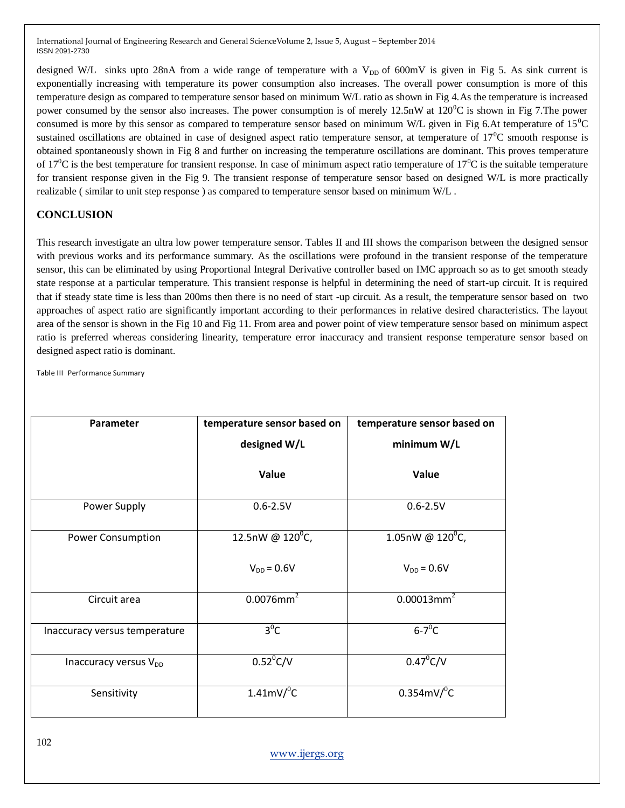designed W/L sinks upto 28nA from a wide range of temperature with a  $V_{DD}$  of 600mV is given in Fig 5. As sink current is exponentially increasing with temperature its power consumption also increases. The overall power consumption is more of this temperature design as compared to temperature sensor based on minimum W/L ratio as shown in Fig 4.As the temperature is increased power consumed by the sensor also increases. The power consumption is of merely  $12.5$ nW at  $120^{\circ}$ C is shown in Fig 7. The power consumed is more by this sensor as compared to temperature sensor based on minimum W/L given in Fig 6.At temperature of  $15^{\circ}$ C sustained oscillations are obtained in case of designed aspect ratio temperature sensor, at temperature of  $17^{\circ}$ C smooth response is obtained spontaneously shown in Fig 8 and further on increasing the temperature oscillations are dominant. This proves temperature of 17<sup>0</sup>C is the best temperature for transient response. In case of minimum aspect ratio temperature of 17<sup>0</sup>C is the suitable temperature for transient response given in the Fig 9. The transient response of temperature sensor based on designed W/L is more practically realizable ( similar to unit step response ) as compared to temperature sensor based on minimum W/L .

## **CONCLUSION**

This research investigate an ultra low power temperature sensor. Tables II and III shows the comparison between the designed sensor with previous works and its performance summary. As the oscillations were profound in the transient response of the temperature sensor, this can be eliminated by using Proportional Integral Derivative controller based on IMC approach so as to get smooth steady state response at a particular temperature. This transient response is helpful in determining the need of start-up circuit. It is required that if steady state time is less than 200ms then there is no need of start -up circuit. As a result, the temperature sensor based on two approaches of aspect ratio are significantly important according to their performances in relative desired characteristics. The layout area of the sensor is shown in the Fig 10 and Fig 11. From area and power point of view temperature sensor based on minimum aspect ratio is preferred whereas considering linearity, temperature error inaccuracy and transient response temperature sensor based on designed aspect ratio is dominant.

Table III Performance Summary

| Parameter                         | temperature sensor based on | temperature sensor based on |  |
|-----------------------------------|-----------------------------|-----------------------------|--|
|                                   | designed W/L                | minimum W/L                 |  |
|                                   | Value                       | Value                       |  |
| Power Supply                      | $0.6 - 2.5V$                | $0.6 - 2.5V$                |  |
| <b>Power Consumption</b>          | 12.5nW @ $120^{\circ}$ C,   | 1.05nW @ $120^{\circ}$ C,   |  |
|                                   | $V_{DD} = 0.6V$             | $V_{DD} = 0.6V$             |  |
| Circuit area                      | $0.0076$ mm <sup>2</sup>    | $0.00013$ mm <sup>2</sup>   |  |
| Inaccuracy versus temperature     | $3^{0}C$                    | $6-7$ <sup>o</sup> C        |  |
| Inaccuracy versus V <sub>DD</sub> | $0.52^{\circ}$ C/V          | $0.47^{\circ}$ C/V          |  |
| Sensitivity                       | $1.41$ mV/ $^{\circ}$ C     | $0.354$ mV/ $^0$ C          |  |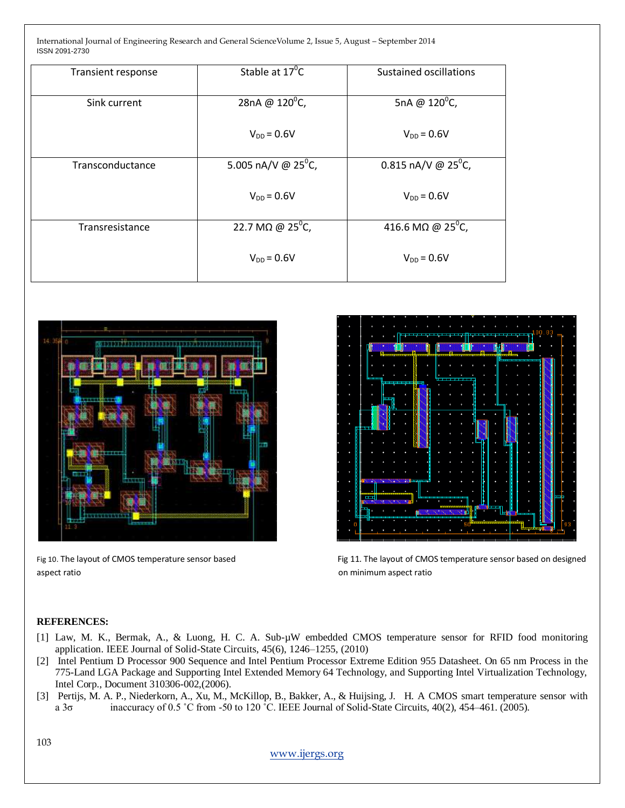| Transient response | Stable at 17 <sup>°</sup> C          | Sustained oscillations          |
|--------------------|--------------------------------------|---------------------------------|
|                    |                                      |                                 |
|                    |                                      |                                 |
| Sink current       | 28nA @ 120°C,                        | 5nA @ $120^{\circ}$ C,          |
|                    |                                      |                                 |
|                    |                                      |                                 |
|                    | $V_{DD} = 0.6V$                      | $V_{DD}$ = 0.6V                 |
|                    |                                      |                                 |
|                    |                                      |                                 |
| Transconductance   | 5.005 nA/V @ $25^{\circ}$ C,         | 0.815 nA/V @ 25 <sup>°</sup> C, |
|                    |                                      |                                 |
|                    |                                      |                                 |
|                    | $V_{DD} = 0.6V$                      | $V_{DD}$ = 0.6V                 |
|                    |                                      |                                 |
|                    |                                      |                                 |
| Transresistance    | 22.7 M $\Omega$ @ 25 <sup>°</sup> C, | 416.6 MΩ @ 25 <sup>0</sup> C,   |
|                    |                                      |                                 |
|                    |                                      |                                 |
|                    | $V_{DD} = 0.6V$                      | $V_{DD} = 0.6V$                 |
|                    |                                      |                                 |
|                    |                                      |                                 |
|                    |                                      |                                 |



aspect ratio and the state of the state of the state on minimum aspect ratio and the state on minimum aspect ratio



Fig 10. The layout of CMOS temperature sensor based Fig 11. The layout of CMOS temperature sensor based on designed

## **REFERENCES:**

- [1] Law, M. K., Bermak, A., & Luong, H. C. A. Sub-µW embedded CMOS temperature sensor for RFID food monitoring application. IEEE Journal of Solid-State Circuits, 45(6), 1246–1255, (2010)
- [2] Intel Pentium D Processor 900 Sequence and Intel Pentium Processor Extreme Edition 955 Datasheet. On 65 nm Process in the 775-Land LGA Package and Supporting Intel Extended Memory 64 Technology, and Supporting Intel Virtualization Technology, Intel Corp., Document 310306-002,(2006).
- [3] Pertijs, M. A. P., Niederkorn, A., Xu, M., McKillop, B., Bakker, A., & Huijsing, J. H. A CMOS smart temperature sensor with a 3 $\sigma$  inaccuracy of 0.5 °C from -50 to 120 °C. IEEE Journal of Solid-State Circuits, 40(2), 454–461. (2005).

103